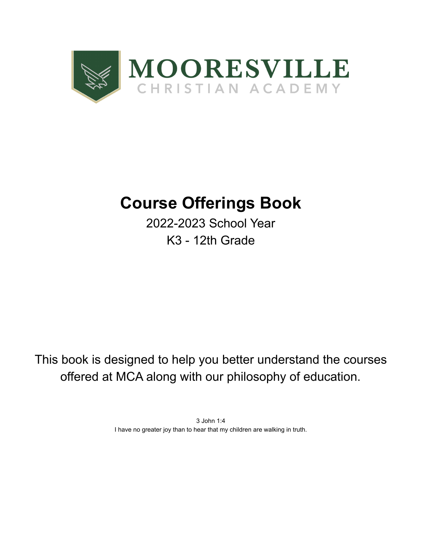

# **Course Offerings Book**

2022-2023 School Year K3 - 12th Grade

This book is designed to help you better understand the courses offered at MCA along with our philosophy of education.

> 3 John 1:4 I have no greater joy than to hear that my children are walking in truth.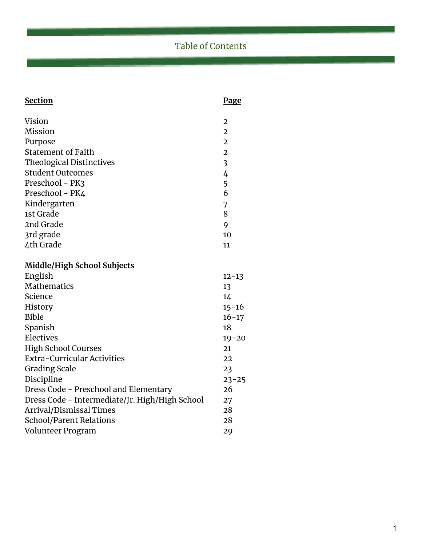# Table of Contents

| <b>Section</b>                                 | Page                    |
|------------------------------------------------|-------------------------|
|                                                |                         |
| Vision                                         | $\overline{2}$          |
| Mission                                        | $\overline{2}$          |
| Purpose                                        | $\overline{2}$          |
| <b>Statement of Faith</b>                      | $\overline{2}$          |
| <b>Theological Distinctives</b>                | $\overline{\mathbf{3}}$ |
| <b>Student Outcomes</b>                        | 4                       |
| Preschool - PK3                                | 5                       |
| Preschool - PK4                                | 6                       |
| Kindergarten                                   | 7                       |
| 1st Grade                                      | 8                       |
| 2nd Grade                                      | 9                       |
| 3rd grade                                      | 10                      |
| 4th Grade                                      | 11                      |
| <b>Middle/High School Subjects</b>             |                         |
|                                                |                         |
| English<br><b>Mathematics</b>                  | $12 - 13$               |
|                                                | 13                      |
| Science                                        | 14                      |
| History                                        | 15-16                   |
| <b>Bible</b>                                   | $16 - 17$               |
| Spanish                                        | 18                      |
| Electives                                      | $19 - 20$               |
| <b>High School Courses</b>                     | 21                      |
| <b>Extra-Curricular Activities</b>             | 22                      |
| <b>Grading Scale</b>                           | 23                      |
| Discipline                                     | $23 - 25$               |
| Dress Code - Preschool and Elementary          | 26                      |
| Dress Code - Intermediate/Jr. High/High School | 27                      |
| Arrival/Dismissal Times                        | 28                      |
| <b>School/Parent Relations</b>                 | 28                      |
| Volunteer Program                              | 29                      |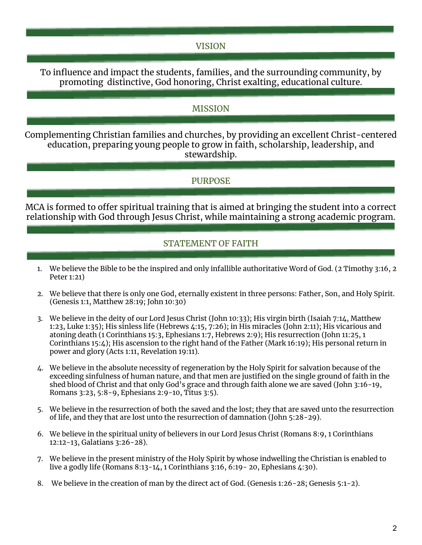# VISION

To influence and impact the students, families, and the surrounding community, by promoting distinctive, God honoring, Christ exalting, educational culture.

# MISSION

Complementing Christian families and churches, by providing an excellent Christ-centered education, preparing young people to grow in faith, scholarship, leadership, and stewardship.

# PURPOSE

MCA is formed to offer spiritual training that is aimed at bringing the student into a correct relationship with God through Jesus Christ, while maintaining a strong academic program.

# STATEMENT OF FAITH

- 1. We believe the Bible to be the inspired and only infallible authoritative Word of God. (2 Timothy 3:16, 2 Peter 1:21)
- 2. We believe that there is only one God, eternally existent in three persons: Father, Son, and Holy Spirit. (Genesis 1:1, Matthew 28:19; John 10:30)
- 3. We believe in the deity of our Lord Jesus Christ (John 10:33); His virgin birth (Isaiah 7:14, Matthew 1:23, Luke 1:35); His sinless life (Hebrews 4:15, 7:26); in His miracles (John 2:11); His vicarious and atoning death (1 Corinthians 15:3, Ephesians 1:7, Hebrews 2:9); His resurrection (John 11:25, 1 Corinthians 15:4); His ascension to the right hand of the Father (Mark 16:19); His personal return in power and glory (Acts 1:11, Revelation 19:11).
- 4. We believe in the absolute necessity of regeneration by the Holy Spirit for salvation because of the exceeding sinfulness of human nature, and that men are justified on the single ground of faith in the shed blood of Christ and that only God's grace and through faith alone we are saved (John 3:16-19, Romans 3:23, 5:8-9, Ephesians 2:9-10, Titus 3:5).
- 5. We believe in the resurrection of both the saved and the lost; they that are saved unto the resurrection of life, and they that are lost unto the resurrection of damnation (John 5:28-29).
- 6. We believe in the spiritual unity of believers in our Lord Jesus Christ (Romans 8:9, 1 Corinthians 12:12-13, Galatians 3:26-28).
- 7. We believe in the present ministry of the Holy Spirit by whose indwelling the Christian is enabled to live a godly life (Romans 8:13-14, 1 Corinthians 3:16, 6:19- 20, Ephesians 4:30).
- 8. We believe in the creation of man by the direct act of God. (Genesis 1:26-28; Genesis 5:1-2).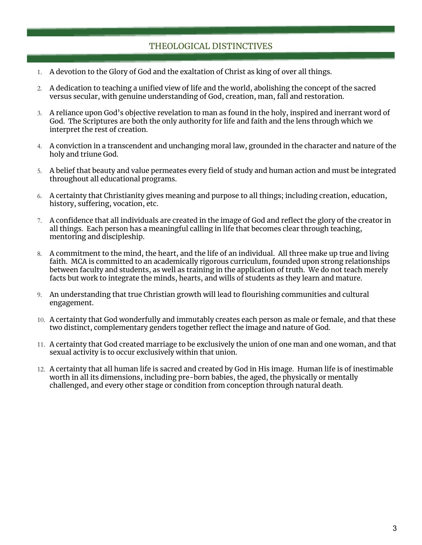# THEOLOGICAL DISTINCTIVES

- 1. A devotion to the Glory of God and the exaltation of Christ as king of over all things.
- 2. A dedication to teaching a unified view of life and the world, abolishing the concept of the sacred versus secular, with genuine understanding of God, creation, man, fall and restoration.
- 3. A reliance upon God's objective revelation to man as found in the holy, inspired and inerrant word of God. The Scriptures are both the only authority for life and faith and the lens through which we interpret the rest of creation.
- 4. A conviction in a transcendent and unchanging moral law, grounded in the character and nature of the holy and triune God.
- 5. A belief that beauty and value permeates every field of study and human action and must be integrated throughout all educational programs.
- 6. A certainty that Christianity gives meaning and purpose to all things; including creation, education, history, suffering, vocation, etc.
- 7. A confidence that all individuals are created in the image of God and reflect the glory of the creator in all things. Each person has a meaningful calling in life that becomes clear through teaching, mentoring and discipleship.
- 8. A commitment to the mind, the heart, and the life of an individual. All three make up true and living faith. MCA is committed to an academically rigorous curriculum, founded upon strong relationships between faculty and students, as well as training in the application of truth. We do not teach merely facts but work to integrate the minds, hearts, and wills of students as they learn and mature.
- 9. An understanding that true Christian growth will lead to flourishing communities and cultural engagement.
- 10. A certainty that God wonderfully and immutably creates each person as male or female, and that these two distinct, complementary genders together reflect the image and nature of God.
- 11. A certainty that God created marriage to be exclusively the union of one man and one woman, and that sexual activity is to occur exclusively within that union.
- 12. A certainty that all human life is sacred and created by God in His image. Human life is of inestimable worth in all its dimensions, including pre-born babies, the aged, the physically or mentally challenged, and every other stage or condition from conception through natural death.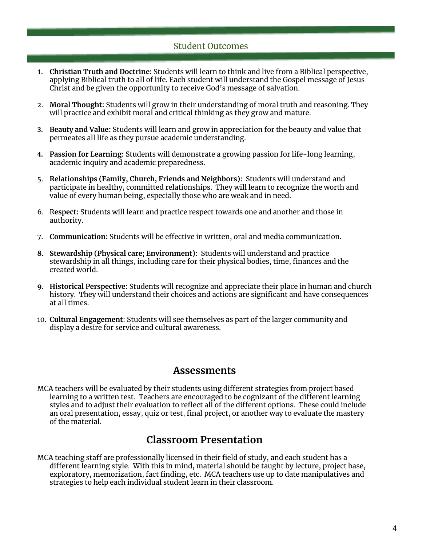# Student Outcomes

- **1. Christian Truth and Doctrine:** Students will learn to think and live from a Biblical perspective, applying Biblical truth to all of life. Each student will understand the Gospel message of Jesus Christ and be given the opportunity to receive God's message of salvation.
- 2. **Moral Thought:** Students will grow in their understanding of moral truth and reasoning. They will practice and exhibit moral and critical thinking as they grow and mature.
- **3. Beauty and Value:** Students will learn and grow in appreciation for the beauty and value that permeates all life as they pursue academic understanding.
- **4. Passion for Learning:** Students will demonstrate a growing passion for life-long learning, academic inquiry and academic preparedness.
- 5. **Relationships (Family, Church, Friends and Neighbors):** Students will understand and participate in healthy, committed relationships. They will learn to recognize the worth and value of every human being, especially those who are weak and in need.
- 6. R**espect:** Students will learn and practice respect towards one and another and those in authority.
- 7. **Communication:** Students will be effective in written, oral and media communication.
- **8. Stewardship (Physical care; Environment):** Students will understand and practice stewardship in all things, including care for their physical bodies, time, finances and the created world.
- **9. Historical Perspective**: Students will recognize and appreciate their place in human and church history. They will understand their choices and actions are significant and have consequences at all times.
- 10. **Cultural Engagement**: Students will see themselves as part of the larger community and display a desire for service and cultural awareness.

# **Assessments**

MCA teachers will be evaluated by their students using different strategies from project based learning to a written test. Teachers are encouraged to be cognizant of the different learning styles and to adjust their evaluation to reflect all of the different options. These could include an oral presentation, essay, quiz or test, final project, or another way to evaluate the mastery of the material.

# **Classroom Presentation**

MCA teaching staff are professionally licensed in their field of study, and each student has a different learning style. With this in mind, material should be taught by lecture, project base, exploratory, memorization, fact finding, etc. MCA teachers use up to date manipulatives and strategies to help each individual student learn in their classroom.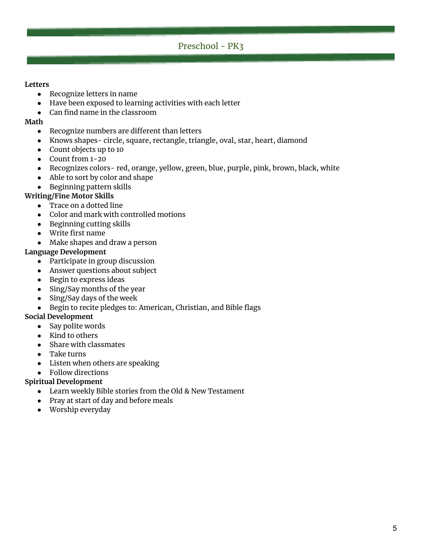# Preschool - PK3

#### **Letters**

- Recognize letters in name
- Have been exposed to learning activities with each letter
- Can find name in the classroom

#### **Math**

- Recognize numbers are different than letters
- Knows shapes- circle, square, rectangle, triangle, oval, star, heart, diamond
- Count objects up to 10
- Count from 1-20
- Recognizes colors-red, orange, yellow, green, blue, purple, pink, brown, black, white
- Able to sort by color and shape
- Beginning pattern skills

#### **Writing/Fine Motor Skills**

- Trace on a dotted line
- Color and mark with controlled motions
- Beginning cutting skills
- Write first name
- Make shapes and draw a person

#### **Language Development**

- Participate in group discussion
- Answer questions about subject
- Begin to express ideas
- Sing/Say months of the year
- Sing/Say days of the week
- Begin to recite pledges to: American, Christian, and Bible flags

#### **Social Development**

- Say polite words
- Kind to others
- Share with classmates
- Take turns
- Listen when others are speaking
- Follow directions

#### **Spiritual Development**

- Learn weekly Bible stories from the Old & New Testament
- Pray at start of day and before meals
- Worship everyday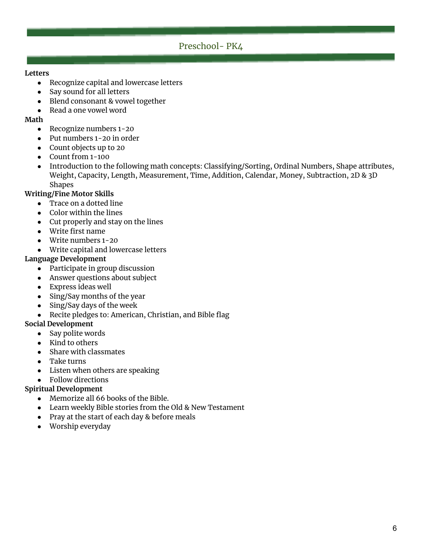# Preschool- PK4

#### **Letters**

- Recognize capital and lowercase letters
- Say sound for all letters
- Blend consonant & vowel together
- Read a one vowel word

#### **Math**

- Recognize numbers 1-20
- Put numbers 1-20 in order
- Count objects up to 20
- Count from 1-100
- Introduction to the following math concepts: Classifying/Sorting, Ordinal Numbers, Shape attributes, Weight, Capacity, Length, Measurement, Time, Addition, Calendar, Money, Subtraction, 2D & 3D Shapes

#### **Writing/Fine Motor Skills**

- Trace on a dotted line
- Color within the lines
- Cut properly and stay on the lines
- Write first name
- Write numbers 1-20
- Write capital and lowercase letters

#### **Language Development**

- Participate in group discussion
- Answer questions about subject
- Express ideas well
- Sing/Say months of the year
- Sing/Say days of the week
- Recite pledges to: American, Christian, and Bible flag

#### **Social Development**

- Say polite words
- Kind to others
- Share with classmates
- Take turns
- Listen when others are speaking
- Follow directions

#### **Spiritual Development**

- Memorize all 66 books of the Bible.
- Learn weekly Bible stories from the Old & New Testament
- Pray at the start of each day & before meals
- Worship everyday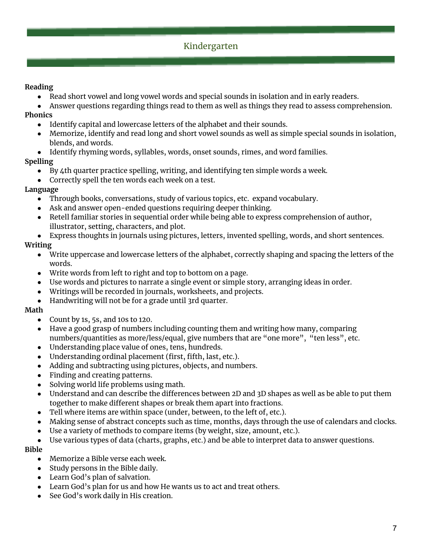# Kindergarten

### **Reading**

- Read short vowel and long vowel words and special sounds in isolation and in early readers.
- Answer questions regarding things read to them as well as things they read to assess comprehension.

#### **Phonics**

- Identify capital and lowercase letters of the alphabet and their sounds.
- Memorize, identify and read long and short vowel sounds as well as simple special sounds in isolation, blends, and words.
- Identify rhyming words, syllables, words, onset sounds, rimes, and word families.

#### **Spelling**

- By 4th quarter practice spelling, writing, and identifying ten simple words a week.
- Correctly spell the ten words each week on a test.

#### **Language**

- Through books, conversations, study of various topics, etc. expand vocabulary.
- Ask and answer open-ended questions requiring deeper thinking.
- Retell familiar stories in sequential order while being able to express comprehension of author, illustrator, setting, characters, and plot.
- Express thoughts in journals using pictures, letters, invented spelling, words, and short sentences.

#### **Writing**

- Write uppercase and lowercase letters of the alphabet, correctly shaping and spacing the letters of the words.
- Write words from left to right and top to bottom on a page.
- Use words and pictures to narrate a single event or simple story, arranging ideas in order.
- Writings will be recorded in journals, worksheets, and projects.
- Handwriting will not be for a grade until 3rd quarter.

#### **Math**

- Count by 1s, 5s, and 10s to 120.
- Have a good grasp of numbers including counting them and writing how many, comparing numbers/quantities as more/less/equal, give numbers that are "one more", "ten less", etc.
- Understanding place value of ones, tens, hundreds.
- Understanding ordinal placement (first, fifth, last, etc.).
- Adding and subtracting using pictures, objects, and numbers.
- Finding and creating patterns.
- Solving world life problems using math.
- Understand and can describe the differences between 2D and 3D shapes as well as be able to put them together to make different shapes or break them apart into fractions.
- Tell where items are within space (under, between, to the left of, etc.).
- Making sense of abstract concepts such as time, months, days through the use of calendars and clocks.
- Use a variety of methods to compare items (by weight, size, amount, etc.).
- Use various types of data (charts, graphs, etc.) and be able to interpret data to answer questions.

#### **Bible**

- Memorize a Bible verse each week.
- Study persons in the Bible daily.
- Learn God's plan of salvation.
- Learn God's plan for us and how He wants us to act and treat others.
- See God's work daily in His creation.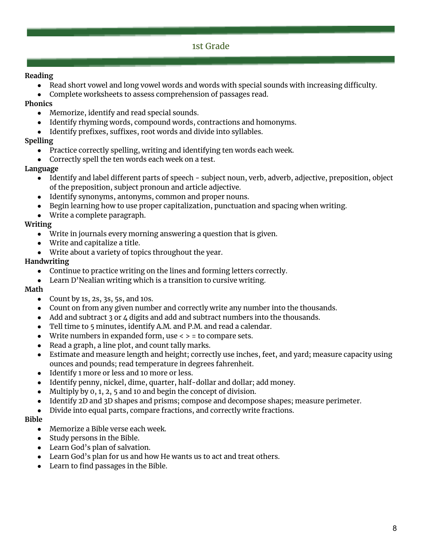# 1st Grade

#### **Reading**

- Read short vowel and long vowel words and words with special sounds with increasing difficulty.
- Complete worksheets to assess comprehension of passages read.

# **Phonics**

- Memorize, identify and read special sounds.
- Identify rhyming words, compound words, contractions and homonyms.
- Identify prefixes, suffixes, root words and divide into syllables.

# **Spelling**

- Practice correctly spelling, writing and identifying ten words each week.
- Correctly spell the ten words each week on a test.

# **Language**

- Identify and label different parts of speech subject noun, verb, adverb, adjective, preposition, object of the preposition, subject pronoun and article adjective.
- Identify synonyms, antonyms, common and proper nouns.
- Begin learning how to use proper capitalization, punctuation and spacing when writing.
- Write a complete paragraph.

# **Writing**

- Write in journals every morning answering a question that is given.
- Write and capitalize a title.
- Write about a variety of topics throughout the year.

# **Handwriting**

- Continue to practice writing on the lines and forming letters correctly.
- Learn D'Nealian writing which is a transition to cursive writing.

# **Math**

- Count by 1s, 2s, 3s, 5s, and 10s.
- Count on from any given number and correctly write any number into the thousands.
- Add and subtract 3 or 4 digits and add and subtract numbers into the thousands.
- Tell time to 5 minutes, identify A.M. and P.M. and read a calendar.
- Write numbers in expanded form, use  $\langle \rangle$  = to compare sets.
- Read a graph, a line plot, and count tally marks.
- Estimate and measure length and height; correctly use inches, feet, and yard; measure capacity using ounces and pounds; read temperature in degrees fahrenheit.
- Identify 1 more or less and 10 more or less.
- Identify penny, nickel, dime, quarter, half-dollar and dollar; add money.
- Multiply by  $0, 1, 2, 5$  and 10 and begin the concept of division.
- Identify 2D and 3D shapes and prisms; compose and decompose shapes; measure perimeter.
- Divide into equal parts, compare fractions, and correctly write fractions.

#### **Bible**

- Memorize a Bible verse each week.
- Study persons in the Bible.
- Learn God's plan of salvation.
- Learn God's plan for us and how He wants us to act and treat others.
- Learn to find passages in the Bible.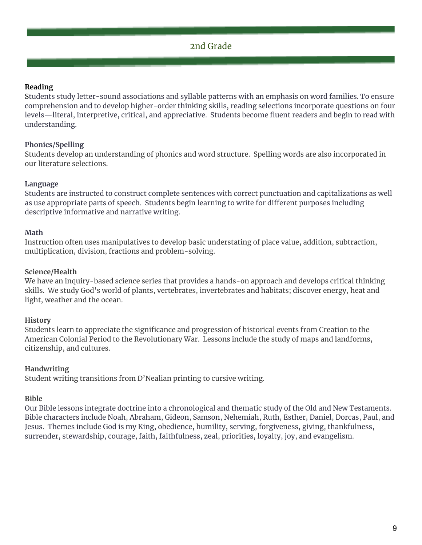#### **Reading**

Students study letter-sound associations and syllable patterns with an emphasis on word families. To ensure comprehension and to develop higher-order thinking skills, reading selections incorporate questions on four levels—literal, interpretive, critical, and appreciative. Students become fluent readers and begin to read with understanding.

#### **Phonics/Spelling**

Students develop an understanding of phonics and word structure. Spelling words are also incorporated in our literature selections.

#### **Language**

Students are instructed to construct complete sentences with correct punctuation and capitalizations as well as use appropriate parts of speech. Students begin learning to write for different purposes including descriptive informative and narrative writing.

#### **Math**

Instruction often uses manipulatives to develop basic understating of place value, addition, subtraction, multiplication, division, fractions and problem-solving.

#### **Science/Health**

We have an inquiry-based science series that provides a hands-on approach and develops critical thinking skills. We study God's world of plants, vertebrates, invertebrates and habitats; discover energy, heat and light, weather and the ocean.

#### **History**

Students learn to appreciate the significance and progression of historical events from Creation to the American Colonial Period to the Revolutionary War. Lessons include the study of maps and landforms, citizenship, and cultures.

#### **Handwriting**

Student writing transitions from D'Nealian printing to cursive writing.

#### **Bible**

Our Bible lessons integrate doctrine into a chronological and thematic study of the Old and New Testaments. Bible characters include Noah, Abraham, Gideon, Samson, Nehemiah, Ruth, Esther, Daniel, Dorcas, Paul, and Jesus. Themes include God is my King, obedience, humility, serving, forgiveness, giving, thankfulness, surrender, stewardship, courage, faith, faithfulness, zeal, priorities, loyalty, joy, and evangelism.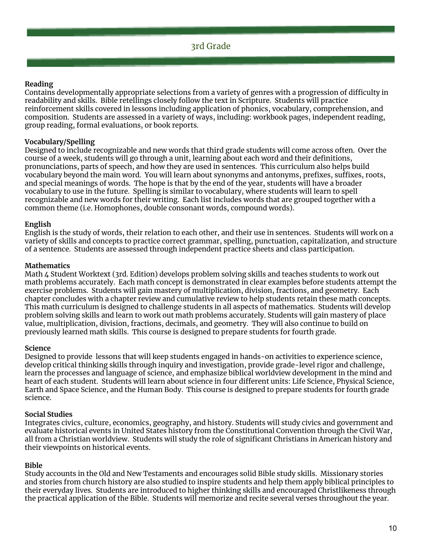#### **Reading**

Contains developmentally appropriate selections from a variety of genres with a progression of difficulty in readability and skills. Bible retellings closely follow the text in Scripture. Students will practice reinforcement skills covered in lessons including application of phonics, vocabulary, comprehension, and composition. Students are assessed in a variety of ways, including: workbook pages, independent reading, group reading, formal evaluations, or book reports.

#### **Vocabulary/Spelling**

Designed to include recognizable and new words that third grade students will come across often. Over the course of a week, students will go through a unit, learning about each word and their definitions, pronunciations, parts of speech, and how they are used in sentences. This curriculum also helps build vocabulary beyond the main word. You will learn about synonyms and antonyms, prefixes, suffixes, roots, and special meanings of words. The hope is that by the end of the year, students will have a broader vocabulary to use in the future. Spelling is similar to vocabulary, where students will learn to spell recognizable and new words for their writing. Each list includes words that are grouped together with a common theme (i.e. Homophones, double consonant words, compound words).

#### **English**

English is the study of words, their relation to each other, and their use in sentences. Students will work on a variety of skills and concepts to practice correct grammar, spelling, punctuation, capitalization, and structure of a sentence. Students are assessed through independent practice sheets and class participation.

#### **Mathematics**

Math 4 Student Worktext (3rd. Edition) develops problem solving skills and teaches students to work out math problems accurately. Each math concept is demonstrated in clear examples before students attempt the exercise problems. Students will gain mastery of multiplication, division, fractions, and geometry. Each chapter concludes with a chapter review and cumulative review to help students retain these math concepts. This math curriculum is designed to challenge students in all aspects of mathematics. Students will develop problem solving skills and learn to work out math problems accurately. Students will gain mastery of place value, multiplication, division, fractions, decimals, and geometry. They will also continue to build on previously learned math skills. This course is designed to prepare students for fourth grade.

#### **Science**

Designed to provide lessons that will keep students engaged in hands-on activities to experience science, develop critical thinking skills through inquiry and investigation, provide grade-level rigor and challenge, learn the processes and language of science, and emphasize biblical worldview development in the mind and heart of each student. Students will learn about science in four different units: Life Science, Physical Science, Earth and Space Science, and the Human Body. This course is designed to prepare students for fourth grade science.

#### **Social Studies**

Integrates civics, culture, economics, geography, and history. Students will study civics and government and evaluate historical events in United States history from the Constitutional Convention through the Civil War, all from a Christian worldview. Students will study the role of significant Christians in American history and their viewpoints on historical events.

#### **Bible**

Study accounts in the Old and New Testaments and encourages solid Bible study skills. Missionary stories and stories from church history are also studied to inspire students and help them apply biblical principles to their everyday lives. Students are introduced to higher thinking skills and encouraged Christlikeness through the practical application of the Bible. Students will memorize and recite several verses throughout the year.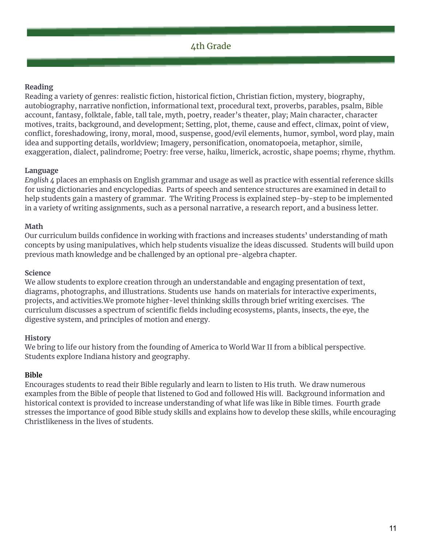#### **Reading**

Reading a variety of genres: realistic fiction, historical fiction, Christian fiction, mystery, biography, autobiography, narrative nonfiction, informational text, procedural text, proverbs, parables, psalm, Bible account, fantasy, folktale, fable, tall tale, myth, poetry, reader's theater, play; Main character, character motives, traits, background, and development; Setting, plot, theme, cause and effect, climax, point of view, conflict, foreshadowing, irony, moral, mood, suspense, good/evil elements, humor, symbol, word play, main idea and supporting details, worldview; Imagery, personification, onomatopoeia, metaphor, simile, exaggeration, dialect, palindrome; Poetry: free verse, haiku, limerick, acrostic, shape poems; rhyme, rhythm.

#### **Language**

*English 4* places an emphasis on English grammar and usage as well as practice with essential reference skills for using dictionaries and encyclopedias. Parts of speech and sentence structures are examined in detail to help students gain a mastery of grammar. The Writing Process is explained step-by-step to be implemented in a variety of writing assignments, such as a personal narrative, a research report, and a business letter.

#### **Math**

Our curriculum builds confidence in working with fractions and increases students' understanding of math concepts by using manipulatives, which help students visualize the ideas discussed. Students will build upon previous math knowledge and be challenged by an optional pre-algebra chapter.

#### **Science**

We allow students to explore creation through an understandable and engaging presentation of text, diagrams, photographs, and illustrations. Students use hands on materials for interactive experiments, projects, and activities.We promote higher-level thinking skills through brief writing exercises. The curriculum discusses a spectrum of scientific fields including ecosystems, plants, insects, the eye, the digestive system, and principles of motion and energy.

#### **History**

We bring to life our history from the founding of America to World War II from a biblical perspective. Students explore Indiana history and geography.

#### **Bible**

Encourages students to read their Bible regularly and learn to listen to His truth. We draw numerous examples from the Bible of people that listened to God and followed His will. Background information and historical context is provided to increase understanding of what life was like in Bible times. Fourth grade stresses the importance of good Bible study skills and explains how to develop these skills, while encouraging Christlikeness in the lives of students.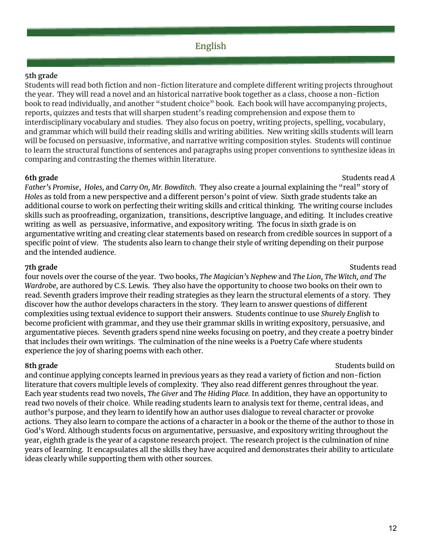#### **5th grade**

Students will read both fiction and non-fiction literature and complete different writing projects throughout the year. They will read a novel and an historical narrative book together as a class, choose a non-fiction book to read individually, and another "student choice" book. Each book will have accompanying projects, reports, quizzes and tests that will sharpen student's reading comprehension and expose them to interdisciplinary vocabulary and studies. They also focus on poetry, writing projects, spelling, vocabulary, and grammar which will build their reading skills and writing abilities. New writing skills students will learn will be focused on persuasive, informative, and narrative writing composition styles. Students will continue to learn the structural functions of sentences and paragraphs using proper conventions to synthesize ideas in comparing and contrasting the themes within literature.

#### **6th grade** Students read *A*

*Father's Promise*, *Holes,* and *Carry On, Mr. Bowditch*. They also create a journal explaining the "real" story of *Holes* as told from a new perspective and a different person's point of view. Sixth grade students take an additional course to work on perfecting their writing skills and critical thinking. The writing course includes skills such as proofreading, organization, transitions, descriptive language, and editing. It includes creative writing as well as persuasive, informative, and expository writing. The focus in sixth grade is on argumentative writing and creating clear statements based on research from credible sources in support of a specific point of view. The students also learn to change their style of writing depending on their purpose and the intended audience.

**7th grade** Students read Students read Students read Students read Students read Students read Students read Students read Students read Students read Students read Students read Students read Students read Students read

four novels over the course of the year. Two books, *The Magician's Nephew* and *The Lion, The Witch, and The Wardrobe,* are authored by C.S. Lewis. They also have the opportunity to choose two books on their own to read. Seventh graders improve their reading strategies as they learn the structural elements of a story. They discover how the author develops characters in the story. They learn to answer questions of different complexities using textual evidence to support their answers. Students continue to use *Shurely English* to become proficient with grammar, and they use their grammar skills in writing expository, persuasive, and argumentative pieces. Seventh graders spend nine weeks focusing on poetry, and they create a poetry binder that includes their own writings. The culmination of the nine weeks is a Poetry Cafe where students experience the joy of sharing poems with each other.

**8th** grade Students build on Students build on Students build on Students build on Students build on Students build on Students build on Students build on Students build on Students build on Students build on Students bui

and continue applying concepts learned in previous years as they read a variety of fiction and non-fiction literature that covers multiple levels of complexity. They also read different genres throughout the year. Each year students read two novels, *The Giver* and *The Hiding Place.* In addition, they have an opportunity to read two novels of their choice. While reading students learn to analysis text for theme, central ideas, and author's purpose, and they learn to identify how an author uses dialogue to reveal character or provoke actions. They also learn to compare the actions of a character in a book or the theme of the author to those in God's Word. Although students focus on argumentative, persuasive, and expository writing throughout the year, eighth grade is the year of a capstone research project. The research project is the culmination of nine years of learning. It encapsulates all the skills they have acquired and demonstrates their ability to articulate ideas clearly while supporting them with other sources.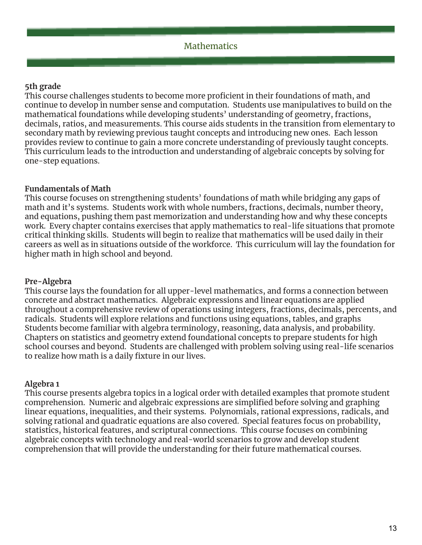# **5th grade**

This course challenges students to become more proficient in their foundations of math, and continue to develop in number sense and computation. Students use manipulatives to build on the mathematical foundations while developing students' understanding of geometry, fractions, decimals, ratios, and measurements. This course aids students in the transition from elementary to secondary math by reviewing previous taught concepts and introducing new ones. Each lesson provides review to continue to gain a more concrete understanding of previously taught concepts. This curriculum leads to the introduction and understanding of algebraic concepts by solving for one-step equations.

#### **Fundamentals of Math**

This course focuses on strengthening students' foundations of math while bridging any gaps of math and it's systems. Students work with whole numbers, fractions, decimals, number theory, and equations, pushing them past memorization and understanding how and why these concepts work. Every chapter contains exercises that apply mathematics to real-life situations that promote critical thinking skills. Students will begin to realize that mathematics will be used daily in their careers as well as in situations outside of the workforce. This curriculum will lay the foundation for higher math in high school and beyond.

#### **Pre-Algebra**

This course lays the foundation for all upper-level mathematics, and forms a connection between concrete and abstract mathematics. Algebraic expressions and linear equations are applied throughout a comprehensive review of operations using integers, fractions, decimals, percents, and radicals. Students will explore relations and functions using equations, tables, and graphs Students become familiar with algebra terminology, reasoning, data analysis, and probability. Chapters on statistics and geometry extend foundational concepts to prepare students for high school courses and beyond. Students are challenged with problem solving using real-life scenarios to realize how math is a daily fixture in our lives.

#### **Algebra 1**

This course presents algebra topics in a logical order with detailed examples that promote student comprehension. Numeric and algebraic expressions are simplified before solving and graphing linear equations, inequalities, and their systems. Polynomials, rational expressions, radicals, and solving rational and quadratic equations are also covered. Special features focus on probability, statistics, historical features, and scriptural connections. This course focuses on combining algebraic concepts with technology and real-world scenarios to grow and develop student comprehension that will provide the understanding for their future mathematical courses.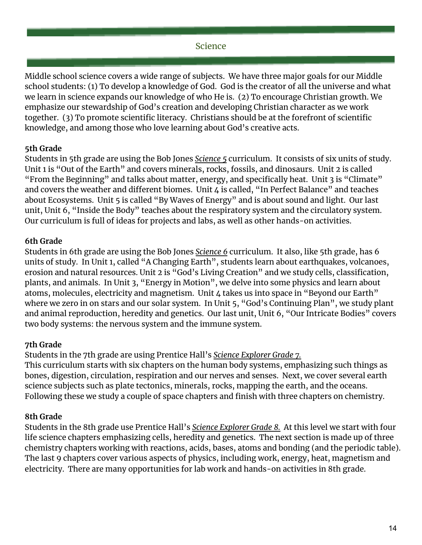# Science

Middle school science covers a wide range of subjects. We have three major goals for our Middle school students: (1) To develop a knowledge of God. God is the creator of all the universe and what we learn in science expands our knowledge of who He is. (2) To encourage Christian growth. We emphasize our stewardship of God's creation and developing Christian character as we work together. (3) To promote scientific literacy. Christians should be at the forefront of scientific knowledge, and among those who love learning about God's creative acts.

# **5th Grade**

Students in 5th grade are using the Bob Jones *Science 5* curriculum. It consists of six units of study. Unit 1 is "Out of the Earth" and covers minerals, rocks, fossils, and dinosaurs. Unit 2 is called "From the Beginning" and talks about matter, energy, and specifically heat. Unit 3 is "Climate" and covers the weather and different biomes. Unit 4 is called, "In Perfect Balance" and teaches about Ecosystems. Unit 5 is called "By Waves of Energy" and is about sound and light. Our last unit, Unit 6, "Inside the Body" teaches about the respiratory system and the circulatory system. Our curriculum is full of ideas for projects and labs, as well as other hands-on activities.

# **6th Grade**

Students in 6th grade are using the Bob Jones *Science 6* curriculum. It also, like 5th grade, has 6 units of study. In Unit 1, called "A Changing Earth", students learn about earthquakes, volcanoes, erosion and natural resources. Unit 2 is "God's Living Creation" and we study cells, classification, plants, and animals. In Unit 3, "Energy in Motion", we delve into some physics and learn about atoms, molecules, electricity and magnetism. Unit 4 takes us into space in "Beyond our Earth" where we zero in on stars and our solar system. In Unit 5, "God's Continuing Plan", we study plant and animal reproduction, heredity and genetics. Our last unit, Unit 6, "Our Intricate Bodies" covers two body systems: the nervous system and the immune system.

# **7th Grade**

Students in the 7th grade are using Prentice Hall's *Science Explorer Grade 7.*

This curriculum starts with six chapters on the human body systems, emphasizing such things as bones, digestion, circulation, respiration and our nerves and senses. Next, we cover several earth science subjects such as plate tectonics, minerals, rocks, mapping the earth, and the oceans. Following these we study a couple of space chapters and finish with three chapters on chemistry.

# **8th Grade**

Students in the 8th grade use Prentice Hall's *Science Explorer Grade 8.* At this level we start with four life science chapters emphasizing cells, heredity and genetics. The next section is made up of three chemistry chapters working with reactions, acids, bases, atoms and bonding (and the periodic table). The last 9 chapters cover various aspects of physics, including work, energy, heat, magnetism and electricity. There are many opportunities for lab work and hands-on activities in 8th grade.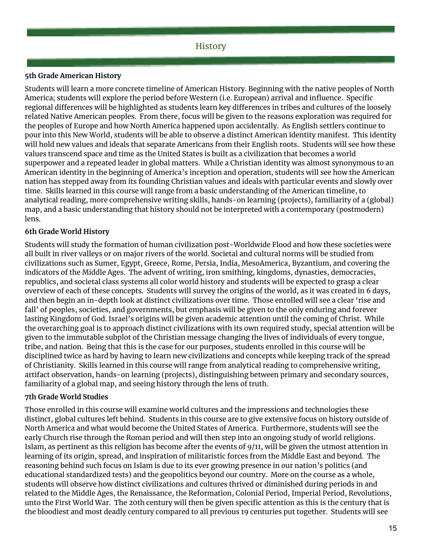# **History**

#### **5th Grade American History**

Students will learn a more concrete timeline of American History. Beginning with the native peoples of North America; students will explore the period before Western (i.e. European) arrival and influence. Specific regional differences will be highlighted as students learn key differences in tribes and cultures of the loosely related Native American peoples. From there, focus will be given to the reasons exploration was required for the peoples of Europe and how North America happened upon accidentally. As English settlers continue to pour into this New World, students will be able to observe a distinct American identity manifest. This identity will hold new values and ideals that separate Americans from their English roots. Students will see how these values transcend space and time as the United States is built as a civilization that becomes a world superpower and a repeated leader in global matters. While a Christian identity was almost synonymous to an American identity in the beginning of America's inception and operation, students will see how the American nation has stepped away from its founding Christian values and ideals with particular events and slowly over time. Skills learned in this course will range from a basic understanding of the American timeline, to analytical reading, more comprehensive writing skills, hands-on learning (projects), familiarity of a (global) map, and a basic understanding that history should not be interpreted with a contemporary (postmodern) lens.

#### **6th Grade World History**

Students will study the formation of human civilization post-Worldwide Flood and how these societies were all built in river valleys or on major rivers of the world. Societal and cultural norms will be studied from civilizations such as Sumer, Egypt, Greece, Rome, Persia, India, MesoAmerica, Byzantium, and covering the indicators of the Middle Ages. The advent of writing, iron smithing, kingdoms, dynasties, democracies, republics, and societal class systems all color world history and students will be expected to grasp a clear overview of each of these concepts. Students will survey the origins of the world, as it was created in 6 days, and then begin an in-depth look at distinct civilizations over time. Those enrolled will see a clear 'rise and fall' of peoples, societies, and governments, but emphasis will be given to the only enduring and forever lasting Kingdom of God. Israel's origins will be given academic attention until the coming of Christ. While the overarching goal is to approach distinct civilizations with its own required study, special attention will be given to the immutable subplot of the Christian message changing the lives of individuals of every tongue, tribe, and nation. Being that this is the case for our purposes, students enrolled in this course will be disciplined twice as hard by having to learn new civilizations and concepts while keeping track of the spread of Christianity. Skills learned in this course will range from analytical reading to comprehensive writing, artifact observation, hands-on learning (projects), distinguishing between primary and secondary sources, familiarity of a global map, and seeing history through the lens of truth.

#### **7th Grade World Studies**

Those enrolled in this course will examine world cultures and the impressions and technologies these distinct, global cultures left behind. Students in this course are to give extensive focus on history outside of North America and what would become the United States of America. Furthermore, students will see the early Church rise through the Roman period and will then step into an ongoing study of world religions. Islam, as pertinent as this religion has become after the events of 9/11, will be given the utmost attention in learning of its origin, spread, and inspiration of militaristic forces from the Middle East and beyond. The reasoning behind such focus on Islam is due to its ever growing presence in our nation's politics (and educational standardized tests) and the geopolitics beyond our country. More on the course as a whole, students will observe how distinct civilizations and cultures thrived or diminished during periods in and related to the Middle Ages, the Renaissance, the Reformation, Colonial Period, Imperial Period, Revolutions, unto the First World War. The 20th century will then be given specific attention as this is the century that is the bloodiest and most deadly century compared to all previous 19 centuries put together. Students will see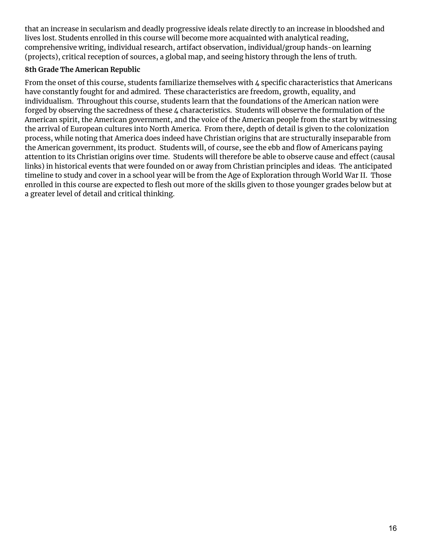that an increase in secularism and deadly progressive ideals relate directly to an increase in bloodshed and lives lost. Students enrolled in this course will become more acquainted with analytical reading, comprehensive writing, individual research, artifact observation, individual/group hands-on learning (projects), critical reception of sources, a global map, and seeing history through the lens of truth.

# **8th Grade The American Republic**

From the onset of this course, students familiarize themselves with 4 specific characteristics that Americans have constantly fought for and admired. These characteristics are freedom, growth, equality, and individualism. Throughout this course, students learn that the foundations of the American nation were forged by observing the sacredness of these 4 characteristics. Students will observe the formulation of the American spirit, the American government, and the voice of the American people from the start by witnessing the arrival of European cultures into North America. From there, depth of detail is given to the colonization process, while noting that America does indeed have Christian origins that are structurally inseparable from the American government, its product. Students will, of course, see the ebb and flow of Americans paying attention to its Christian origins over time. Students will therefore be able to observe cause and effect (causal links) in historical events that were founded on or away from Christian principles and ideas. The anticipated timeline to study and cover in a school year will be from the Age of Exploration through World War II. Those enrolled in this course are expected to flesh out more of the skills given to those younger grades below but at a greater level of detail and critical thinking.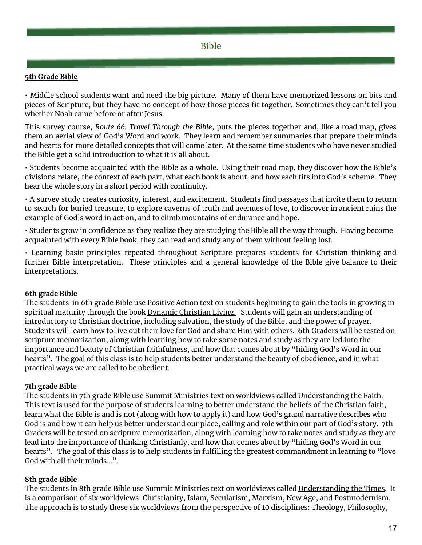#### **5th Grade Bible**

• Middle school students want and need the big picture. Many of them have memorized lessons on bits and pieces of Scripture, but they have no concept of how those pieces fit together. Sometimes they can't tell you whether Noah came before or after Jesus.

This survey course, *Route 66: Travel Through the Bible*, puts the pieces together and, like a road map, gives them an aerial view of God's Word and work. They learn and remember summaries that prepare their minds and hearts for more detailed concepts that will come later. At the same time students who have never studied the Bible get a solid introduction to what it is all about.

• Students become acquainted with the Bible as a whole. Using their road map, they discover how the Bible's divisions relate, the context of each part, what each book is about, and how each fits into God's scheme. They hear the whole story in a short period with continuity.

• A survey study creates curiosity, interest, and excitement. Students find passages that invite them to return to search for buried treasure, to explore caverns of truth and avenues of love, to discover in ancient ruins the example of God's word in action, and to climb mountains of endurance and hope.

• Students grow in confidence as they realize they are studying the Bible all the way through. Having become acquainted with every Bible book, they can read and study any of them without feeling lost.

• Learning basic principles repeated throughout Scripture prepares students for Christian thinking and further Bible interpretation. These principles and a general knowledge of the Bible give balance to their interpretations.

#### **6th grade Bible**

The students in 6th grade Bible use Positive Action text on students beginning to gain the tools in growing in spiritual maturity through the book Dynamic Christian Living. Students will gain an understanding of introductory to Christian doctrine, including salvation, the study of the Bible, and the power of prayer. Students will learn how to live out their love for God and share Him with others. 6th Graders will be tested on scripture memorization, along with learning how to take some notes and study as they are led into the importance and beauty of Christian faithfulness, and how that comes about by "hiding God's Word in our hearts". The goal of this class is to help students better understand the beauty of obedience, and in what practical ways we are called to be obedient.

#### **7th grade Bible**

The students in 7th grade Bible use Summit Ministries text on worldviews called Understanding the Faith. This text is used for the purpose of students learning to better understand the beliefs of the Christian faith, learn what the Bible is and is not (along with how to apply it) and how God's grand narrative describes who God is and how it can help us better understand our place, calling and role within our part of God's story. 7th Graders will be tested on scripture memorization, along with learning how to take notes and study as they are lead into the importance of thinking Christianly, and how that comes about by "hiding God's Word in our hearts". The goal of this class is to help students in fulfilling the greatest commandment in learning to "love God with all their minds…".

#### **8th grade Bible**

The students in 8th grade Bible use Summit Ministries text on worldviews called Understanding the Times. It is a comparison of six worldviews: Christianity, Islam, Secularism, Marxism, New Age, and Postmodernism. The approach is to study these six worldviews from the perspective of 10 disciplines: Theology, Philosophy,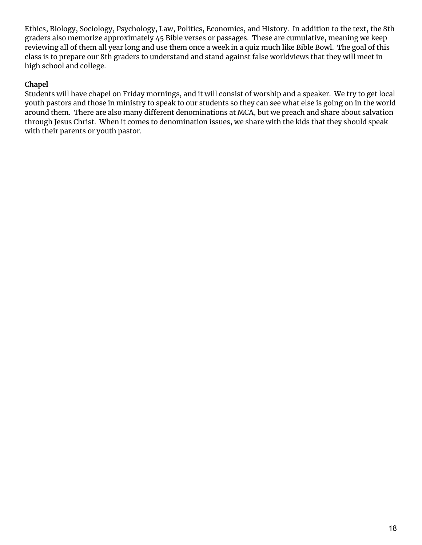Ethics, Biology, Sociology, Psychology, Law, Politics, Economics, and History. In addition to the text, the 8th graders also memorize approximately 45 Bible verses or passages. These are cumulative, meaning we keep reviewing all of them all year long and use them once a week in a quiz much like Bible Bowl. The goal of this class is to prepare our 8th graders to understand and stand against false worldviews that they will meet in high school and college.

# **Chapel**

Students will have chapel on Friday mornings, and it will consist of worship and a speaker. We try to get local youth pastors and those in ministry to speak to our students so they can see what else is going on in the world around them. There are also many different denominations at MCA, but we preach and share about salvation through Jesus Christ. When it comes to denomination issues, we share with the kids that they should speak with their parents or youth pastor.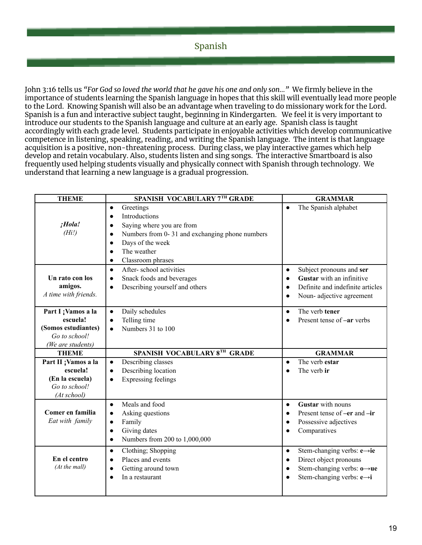# Spanish

John 3:16 tells us *"For God so loved the world that he gave his one and only son…"* We firmly believe in the importance of students learning the Spanish language in hopes that this skill will eventually lead more people to the Lord. Knowing Spanish will also be an advantage when traveling to do missionary work for the Lord. Spanish is a fun and interactive subject taught, beginning in Kindergarten. We feel it is very important to introduce our students to the Spanish language and culture at an early age. Spanish class is taught accordingly with each grade level. Students participate in enjoyable activities which develop communicative competence in listening, speaking, reading, and writing the Spanish language. The intent is that language acquisition is a positive, non-threatening process. During class, we play interactive games which help develop and retain vocabulary. Also, students listen and sing songs. The interactive Smartboard is also frequently used helping students visually and physically connect with Spanish through technology. We understand that learning a new language is a gradual progression.

| <b>THEME</b>         | SPANISH VOCABULARY 7TH GRADE                                | <b>GRAMMAR</b>                            |
|----------------------|-------------------------------------------------------------|-------------------------------------------|
|                      | Greetings<br>$\bullet$                                      | The Spanish alphabet<br>$\bullet$         |
|                      | Introductions<br>$\bullet$                                  |                                           |
| ¡Hola!               | Saying where you are from<br>$\bullet$                      |                                           |
| (Hil)                | Numbers from 0-31 and exchanging phone numbers<br>$\bullet$ |                                           |
|                      | Days of the week<br>$\bullet$                               |                                           |
|                      | The weather<br>$\bullet$                                    |                                           |
|                      | Classroom phrases<br>$\bullet$                              |                                           |
|                      | After-school activities<br>$\bullet$                        | Subject pronouns and ser<br>$\bullet$     |
| Un rato con los      | Snack foods and beverages<br>$\bullet$                      | Gustar with an infinitive<br>$\bullet$    |
| amigos.              | Describing yourself and others<br>$\bullet$                 | Definite and indefinite articles          |
| A time with friends. |                                                             | Noun-adjective agreement<br>$\bullet$     |
| Part I ; Vamos a la  | Daily schedules<br>$\bullet$                                | The verb tener<br>$\bullet$               |
| escuela!             | Telling time<br>$\bullet$                                   | Present tense of -ar verbs                |
| (Somos estudiantes)  | Numbers 31 to 100<br>$\bullet$                              |                                           |
| Go to school!        |                                                             |                                           |
|                      |                                                             |                                           |
| (We are students)    |                                                             |                                           |
| <b>THEME</b>         | SPANISH VOCABULARY 8TH GRADE                                | <b>GRAMMAR</b>                            |
| Part II ; Vamos a la | Describing classes<br>$\bullet$                             | The verb estar<br>$\bullet$               |
| escuela!             | Describing location<br>$\bullet$                            | The verb ir                               |
| (En la escuela)      | Expressing feelings<br>$\bullet$                            |                                           |
| Go to school!        |                                                             |                                           |
| (At school)          |                                                             |                                           |
|                      | Meals and food<br>$\bullet$                                 | Gustar with nouns<br>$\bullet$            |
| Comer en familia     | Asking questions<br>$\bullet$                               | Present tense of -er and -ir<br>$\bullet$ |
| Eat with family      | Family<br>$\bullet$                                         | Possessive adjectives<br>$\bullet$        |
|                      | Giving dates<br>$\bullet$                                   | Comparatives<br>$\bullet$                 |
|                      | Numbers from 200 to 1,000,000<br>$\bullet$                  |                                           |
|                      | Clothing; Shopping<br>$\bullet$                             | Stem-changing verbs: e→ie<br>$\bullet$    |
| En el centro         | Places and events<br>$\bullet$                              | Direct object pronouns<br>$\bullet$       |
| (At the mall)        | Getting around town<br>$\bullet$                            | Stem-changing verbs: $o \rightarrow ue$   |
|                      | In a restaurant<br>$\bullet$                                | Stem-changing verbs: $e \rightarrow i$    |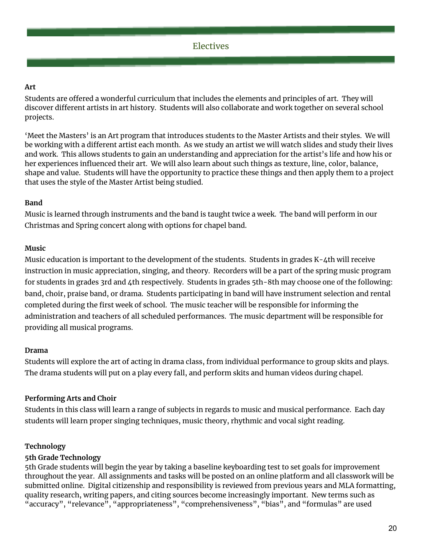# **Art**

Students are offered a wonderful curriculum that includes the elements and principles of art. They will discover different artists in art history. Students will also collaborate and work together on several school projects.

'Meet the Masters' is an Art program that introduces students to the Master Artists and their styles. We will be working with a different artist each month. As we study an artist we will watch slides and study their lives and work. This allows students to gain an understanding and appreciation for the artist's life and how his or her experiences influenced their art. We will also learn about such things as texture, line, color, balance, shape and value. Students will have the opportunity to practice these things and then apply them to a project that uses the style of the Master Artist being studied.

# **Band**

Music is learned through instruments and the band is taught twice a week. The band will perform in our Christmas and Spring concert along with options for chapel band.

# **Music**

Music education is important to the development of the students. Students in grades K-4th will receive instruction in music appreciation, singing, and theory. Recorders will be a part of the spring music program for students in grades 3rd and 4th respectively. Students in grades 5th-8th may choose one of the following: band, choir, praise band, or drama. Students participating in band will have instrument selection and rental completed during the first week of school. The music teacher will be responsible for informing the administration and teachers of all scheduled performances. The music department will be responsible for providing all musical programs.

#### **Drama**

Students will explore the art of acting in drama class, from individual performance to group skits and plays. The drama students will put on a play every fall, and perform skits and human videos during chapel.

# **Performing Arts and Choir**

Students in this class will learn a range of subjects in regards to music and musical performance. Each day students will learn proper singing techniques, music theory, rhythmic and vocal sight reading.

# **Technology**

# **5th Grade Technology**

5th Grade students will begin the year by taking a baseline keyboarding test to set goals for improvement throughout the year. All assignments and tasks will be posted on an online platform and all classwork will be submitted online. Digital citizenship and responsibility is reviewed from previous years and MLA formatting, quality research, writing papers, and citing sources become increasingly important. New terms such as "accuracy", "relevance", "appropriateness", "comprehensiveness", "bias", and "formulas" are used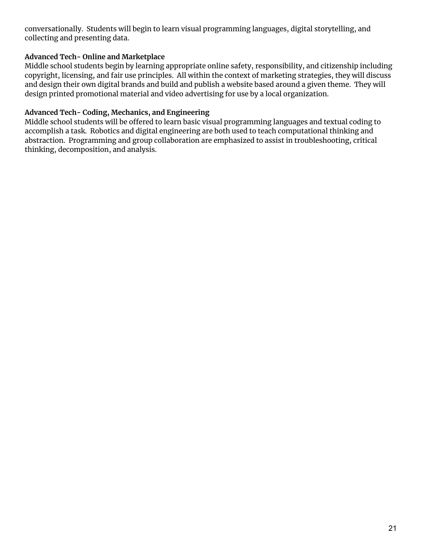conversationally. Students will begin to learn visual programming languages, digital storytelling, and collecting and presenting data.

### **Advanced Tech- Online and Marketplace**

Middle school students begin by learning appropriate online safety, responsibility, and citizenship including copyright, licensing, and fair use principles. All within the context of marketing strategies, they will discuss and design their own digital brands and build and publish a website based around a given theme. They will design printed promotional material and video advertising for use by a local organization.

### **Advanced Tech- Coding, Mechanics, and Engineering**

Middle school students will be offered to learn basic visual programming languages and textual coding to accomplish a task. Robotics and digital engineering are both used to teach computational thinking and abstraction. Programming and group collaboration are emphasized to assist in troubleshooting, critical thinking, decomposition, and analysis.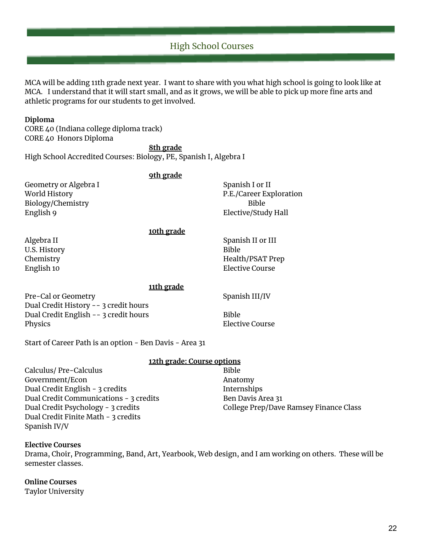# High School Courses

MCA will be adding 11th grade next year. I want to share with you what high school is going to look like at MCA. I understand that it will start small, and as it grows, we will be able to pick up more fine arts and athletic programs for our students to get involved.

#### **Diploma**

CORE 40 (Indiana college diploma track) CORE 40 Honors Diploma

**8th grade** High School Accredited Courses: Biology, PE, Spanish I, Algebra I

| <u>9th grade</u>                      |                         |
|---------------------------------------|-------------------------|
| Geometry or Algebra I                 | Spanish I or II         |
| World History                         | P.E./Career Exploration |
| Biology/Chemistry                     | <b>Bible</b>            |
| English 9                             | Elective/Study Hall     |
| <u>10th grade</u>                     |                         |
| Algebra II                            | Spanish II or III       |
| U.S. History                          | <b>Bible</b>            |
| Chemistry                             | Health/PSAT Prep        |
| English 10                            | <b>Elective Course</b>  |
| 11th grade                            |                         |
| Pre-Cal or Geometry                   | Spanish III/IV          |
| Dual Credit History -- 3 credit hours |                         |
| Dual Credit English -- 3 credit hours | <b>Bible</b>            |

Physics **Elective Course** 

Start of Career Path is an option - Ben Davis - Area 31

#### **12th grade: Course options**

Calculus/ Pre-Calculus Bible Government/Econ Anatomy Dual Credit English - 3 credits Internships Dual Credit Communications - 3 credits Ben Davis Area 31 Dual Credit Psychology - 3 credits College Prep/Dave Ramsey Finance Class Dual Credit Finite Math - 3 credits Spanish IV/V

#### **Elective Courses**

Drama, Choir, Programming, Band, Art, Yearbook, Web design, and I am working on others. These will be semester classes.

#### **Online Courses**

Taylor University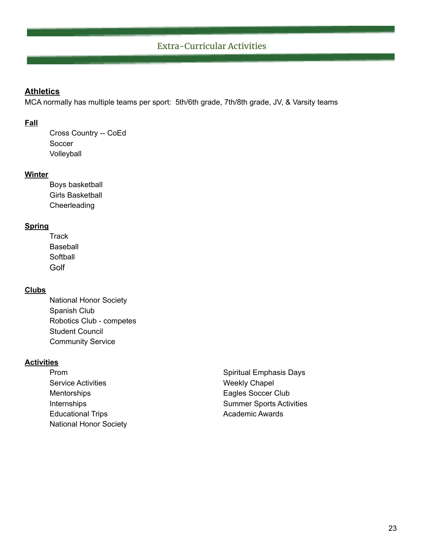# Extra-Curricular Activities

#### **Athletics**

MCA normally has multiple teams per sport: 5th/6th grade, 7th/8th grade, JV, & Varsity teams

#### **Fall**

Cross Country -- CoEd Soccer Volleyball

#### **Winter**

Boys basketball Girls Basketball **Cheerleading** 

### **Spring**

**Track** Baseball **Softball Golf** 

### **Clubs**

National Honor Society Spanish Club Robotics Club - competes Student Council Community Service

#### **Activities**

- Service Activities **No. 2018** Weekly Chapel Mentorships **Eagles** Soccer Club Educational Trips **Academic Awards Academic Awards** National Honor Society
- Prom Spiritual Emphasis Days Internships **Summer Sports Activities**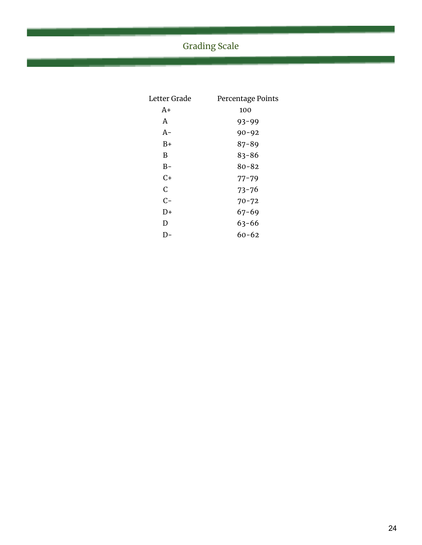# Grading Scale

| Letter Grade | Percentage Points |
|--------------|-------------------|
| A+           | 100               |
| A            | $93 - 99$         |
| A-           | $90 - 92$         |
| B+           | $87 - 89$         |
| B            | $83 - 86$         |
| B-           | $80 - 82$         |
| $C+$         | $77 - 79$         |
| C            | $73 - 76$         |
| $C-$         | $70 - 72$         |
| D+           | $67 - 69$         |
| D            | 63-66             |
| I) –         | 60-62             |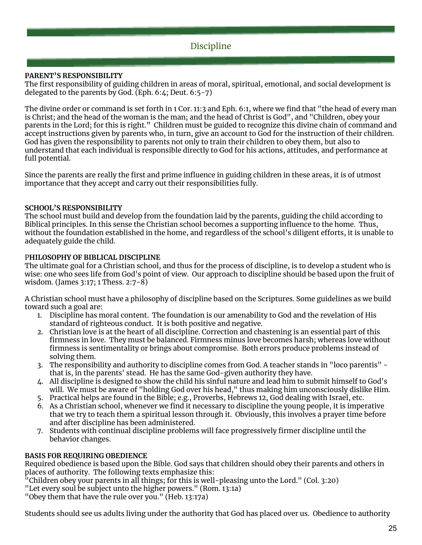# Discipline

#### **PARENT'S RESPONSIBILITY**

The first responsibility of guiding children in areas of moral, spiritual, emotional, and social development is delegated to the parents by God. (Eph. 6:4; Deut. 6:5-7)

The divine order or command is set forth in 1 Cor. 11:3 and Eph. 6:1, where we find that "the head of every man is Christ; and the head of the woman is the man; and the head of Christ is God", and "Children, obey your parents in the Lord; for this is right." Children must be guided to recognize this divine chain of command and accept instructions given by parents who, in turn, give an account to God for the instruction of their children. God has given the responsibility to parents not only to train their children to obey them, but also to understand that each individual is responsible directly to God for his actions, attitudes, and performance at full potential.

Since the parents are really the first and prime influence in guiding children in these areas, it is of utmost importance that they accept and carry out their responsibilities fully.

#### **SCHOOL'S RESPONSIBILITY**

The school must build and develop from the foundation laid by the parents, guiding the child according to Biblical principles. In this sense the Christian school becomes a supporting influence to the home. Thus, without the foundation established in the home, and regardless of the school's diligent efforts, it is unable to adequately guide the child.

#### P**HILOSOPHY OF BIBLICAL DISCIPLINE**

The ultimate goal for a Christian school, and thus for the process of discipline, is to develop a student who is wise: one who sees life from God's point of view. Our approach to discipline should be based upon the fruit of wisdom. (James 3:17; 1 Thess. 2:7-8)

A Christian school must have a philosophy of discipline based on the Scriptures. Some guidelines as we build toward such a goal are:

- 1. Discipline has moral content. The foundation is our amenability to God and the revelation of His standard of righteous conduct. It is both positive and negative.
- 2. Christian love is at the heart of all discipline. Correction and chastening is an essential part of this firmness in love. They must be balanced. Firmness minus love becomes harsh; whereas love without firmness is sentimentality or brings about compromise. Both errors produce problems instead of solving them.
- 3. The responsibility and authority to discipline comes from God. A teacher stands in "loco parentis" that is, in the parents' stead. He has the same God-given authority they have.
- 4. All discipline is designed to show the child his sinful nature and lead him to submit himself to God's will. We must be aware of "holding God over his head," thus making him unconsciously dislike Him.
- 5. Practical helps are found in the Bible; e.g., Proverbs, Hebrews 12, God dealing with Israel, etc.
- 6. As a Christian school, whenever we find it necessary to discipline the young people, it is imperative that we try to teach them a spiritual lesson through it. Obviously, this involves a prayer time before and after discipline has been administered.
- 7. Students with continual discipline problems will face progressively firmer discipline until the behavior changes.

#### **BASIS FOR REQUIRING OBEDIENCE**

Required obedience is based upon the Bible. God says that children should obey their parents and others in places of authority. The following texts emphasize this:

"Children obey your parents in all things; for this is well-pleasing unto the Lord." (Col. 3:20)

"Let every soul be subject unto the higher powers." (Rom. 13:1a)

"Obey them that have the rule over you." (Heb. 13:17a)

Students should see us adults living under the authority that God has placed over us. Obedience to authority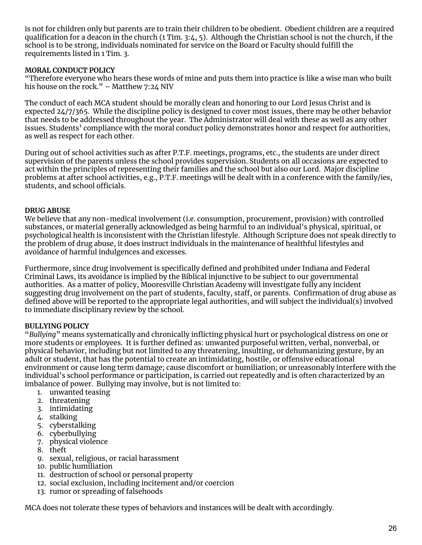is not for children only but parents are to train their children to be obedient. Obedient children are a required qualification for a deacon in the church (1 Tim. 3:4, 5). Although the Christian school is not the church, if the school is to be strong, individuals nominated for service on the Board or Faculty should fulfill the requirements listed in 1 Tim. 3.

#### **MORAL CONDUCT POLICY**

"Therefore everyone who hears these words of mine and puts them into practice is like a wise man who built his house on the rock." – Matthew 7:24 NIV

The conduct of each MCA student should be morally clean and honoring to our Lord Jesus Christ and is expected 24/7/365. While the discipline policy is designed to cover most issues, there may be other behavior that needs to be addressed throughout the year. The Administrator will deal with these as well as any other issues. Students' compliance with the moral conduct policy demonstrates honor and respect for authorities, as well as respect for each other.

During out of school activities such as after P.T.F. meetings, programs, etc., the students are under direct supervision of the parents unless the school provides supervision. Students on all occasions are expected to act within the principles of representing their families and the school but also our Lord. Major discipline problems at after school activities, e.g., P.T.F. meetings will be dealt with in a conference with the family/ies, students, and school officials.

#### **DRUG ABUSE**

We believe that any non-medical involvement (i.e. consumption, procurement, provision) with controlled substances, or material generally acknowledged as being harmful to an individual's physical, spiritual, or psychological health is inconsistent with the Christian lifestyle. Although Scripture does not speak directly to the problem of drug abuse, it does instruct individuals in the maintenance of healthful lifestyles and avoidance of harmful indulgences and excesses.

Furthermore, since drug involvement is specifically defined and prohibited under Indiana and Federal Criminal Laws, its avoidance is implied by the Biblical injunctive to be subject to our governmental authorities. As a matter of policy, Mooresville Christian Academy will investigate fully any incident suggesting drug involvement on the part of students, faculty, staff, or parents. Confirmation of drug abuse as defined above will be reported to the appropriate legal authorities, and will subject the individual(s) involved to immediate disciplinary review by the school.

#### **BULLYING POLICY**

"*Bullying*" means systematically and chronically inflicting physical hurt or psychological distress on one or more students or employees. It is further defined as: unwanted purposeful written, verbal, nonverbal, or physical behavior, including but not limited to any threatening, insulting, or dehumanizing gesture, by an adult or student, that has the potential to create an intimidating, hostile, or offensive educational environment or cause long term damage; cause discomfort or humiliation; or unreasonably interfere with the individual's school performance or participation, is carried out repeatedly and is often characterized by an imbalance of power. Bullying may involve, but is not limited to:

- 1. unwanted teasing
- 2. threatening
- 3. intimidating
- 4. stalking
- 5. cyberstalking
- 6. cyberbullying
- 7. physical violence
- 8. theft
- 9. sexual, religious, or racial harassment
- 10. public humiliation
- 11. destruction of school or personal property
- 12. social exclusion, including incitement and/or coercion
- 13. rumor or spreading of falsehoods

MCA does not tolerate these types of behaviors and instances will be dealt with accordingly.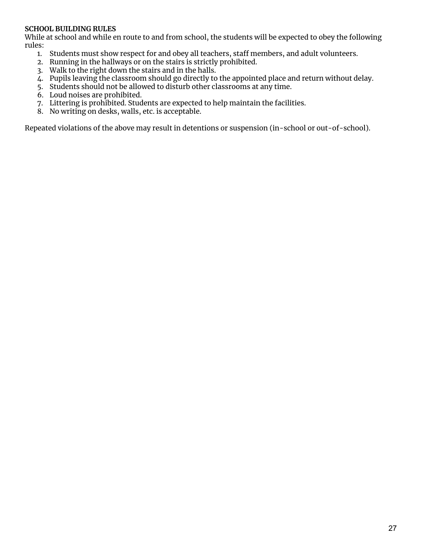#### **SCHOOL BUILDING RULES**

While at school and while en route to and from school, the students will be expected to obey the following rules:

- 1. Students must show respect for and obey all teachers, staff members, and adult volunteers.
- 2. Running in the hallways or on the stairs is strictly prohibited.
- 3. Walk to the right down the stairs and in the halls.
- 4. Pupils leaving the classroom should go directly to the appointed place and return without delay.
- 5. Students should not be allowed to disturb other classrooms at any time.
- 6. Loud noises are prohibited.
- 7. Littering is prohibited. Students are expected to help maintain the facilities.
- 8. No writing on desks, walls, etc. is acceptable.

Repeated violations of the above may result in detentions or suspension (in-school or out-of-school).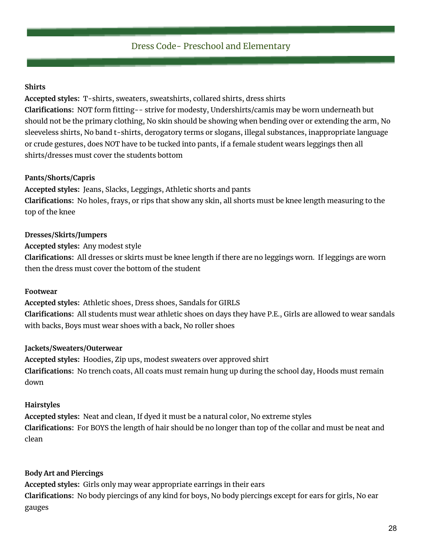# Dress Code- Preschool and Elementary

#### **Shirts**

**Accepted styles:** T-shirts, sweaters, sweatshirts, collared shirts, dress shirts **Clarifications:** NOT form fitting-- strive for modesty, Undershirts/camis may be worn underneath but should not be the primary clothing, No skin should be showing when bending over or extending the arm, No sleeveless shirts, No band t-shirts, derogatory terms or slogans, illegal substances, inappropriate language or crude gestures, does NOT have to be tucked into pants, if a female student wears leggings then all shirts/dresses must cover the students bottom

# **Pants/Shorts/Capris**

**Accepted styles:** Jeans, Slacks, Leggings, Athletic shorts and pants **Clarifications:** No holes, frays, or rips that show any skin, all shorts must be knee length measuring to the top of the knee

# **Dresses/Skirts/Jumpers**

**Accepted styles:** Any modest style **Clarifications:** All dresses or skirts must be knee length if there are no leggings worn. If leggings are worn then the dress must cover the bottom of the student

#### **Footwear**

**Accepted styles:** Athletic shoes, Dress shoes, Sandals for GIRLS **Clarifications:** All students must wear athletic shoes on days they have P.E., Girls are allowed to wear sandals with backs, Boys must wear shoes with a back, No roller shoes

# **Jackets/Sweaters/Outerwear**

**Accepted styles:** Hoodies, Zip ups, modest sweaters over approved shirt **Clarifications:** No trench coats, All coats must remain hung up during the school day, Hoods must remain down

# **Hairstyles**

**Accepted styles:** Neat and clean, If dyed it must be a natural color, No extreme styles **Clarifications:** For BOYS the length of hair should be no longer than top of the collar and must be neat and clean

# **Body Art and Piercings**

**Accepted styles:** Girls only may wear appropriate earrings in their ears **Clarifications:** No body piercings of any kind for boys, No body piercings except for ears for girls, No ear gauges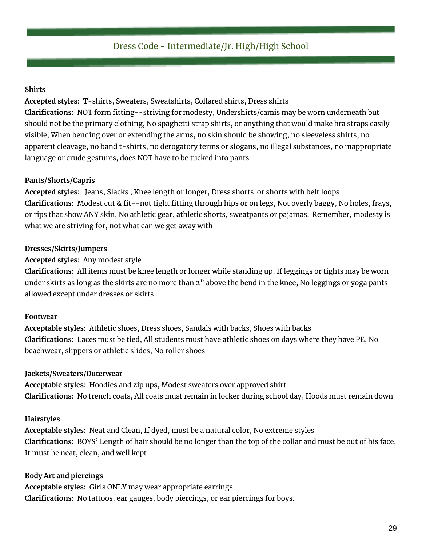# Dress Code - Intermediate/Jr. High/High School

#### **Shirts**

**Accepted styles:** T-shirts, Sweaters, Sweatshirts, Collared shirts, Dress shirts **Clarifications:** NOT form fitting--striving for modesty, Undershirts/camis may be worn underneath but should not be the primary clothing, No spaghetti strap shirts, or anything that would make bra straps easily visible, When bending over or extending the arms, no skin should be showing, no sleeveless shirts, no apparent cleavage, no band t-shirts, no derogatory terms or slogans, no illegal substances, no inappropriate language or crude gestures, does NOT have to be tucked into pants

#### **Pants/Shorts/Capris**

**Accepted styles:** Jeans, Slacks , Knee length or longer, Dress shorts or shorts with belt loops **Clarifications:** Modest cut & fit--not tight fitting through hips or on legs, Not overly baggy, No holes, frays, or rips that show ANY skin, No athletic gear, athletic shorts, sweatpants or pajamas. Remember, modesty is what we are striving for, not what can we get away with

#### **Dresses/Skirts/Jumpers**

#### **Accepted styles:** Any modest style

**Clarifications:** All items must be knee length or longer while standing up, If leggings or tights may be worn under skirts as long as the skirts are no more than 2" above the bend in the knee, No leggings or yoga pants allowed except under dresses or skirts

#### **Footwear**

**Acceptable styles:** Athletic shoes, Dress shoes, Sandals with backs, Shoes with backs **Clarifications:** Laces must be tied, All students must have athletic shoes on days where they have PE, No beachwear, slippers or athletic slides, No roller shoes

#### **Jackets/Sweaters/Outerwear**

**Acceptable styles:** Hoodies and zip ups, Modest sweaters over approved shirt **Clarifications:** No trench coats, All coats must remain in locker during school day, Hoods must remain down

#### **Hairstyles**

**Acceptable styles:** Neat and Clean, If dyed, must be a natural color, No extreme styles **Clarifications:** BOYS' Length of hair should be no longer than the top of the collar and must be out of his face, It must be neat, clean, and well kept

#### **Body Art and piercings**

**Acceptable styles:** Girls ONLY may wear appropriate earrings **Clarifications:** No tattoos, ear gauges, body piercings, or ear piercings for boys.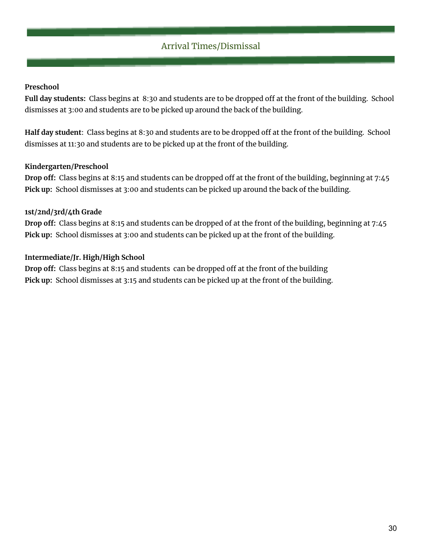# Arrival Times/Dismissal

### **Preschool**

**Full day students:** Class begins at 8:30 and students are to be dropped off at the front of the building. School dismisses at 3:00 and students are to be picked up around the back of the building.

**Half day student**: Class begins at 8:30 and students are to be dropped off at the front of the building. School dismisses at 11:30 and students are to be picked up at the front of the building.

#### **Kindergarten/Preschool**

**Drop off:** Class begins at 8:15 and students can be dropped off at the front of the building, beginning at 7:45 **Pick up:** School dismisses at 3:00 and students can be picked up around the back of the building.

# **1st/2nd/3rd/4th Grade**

**Drop off:** Class begins at 8:15 and students can be dropped of at the front of the building, beginning at 7:45 **Pick up:** School dismisses at 3:00 and students can be picked up at the front of the building.

# **Intermediate/Jr. High/High School**

**Drop off:** Class begins at 8:15 and students can be dropped off at the front of the building **Pick up:** School dismisses at 3:15 and students can be picked up at the front of the building.